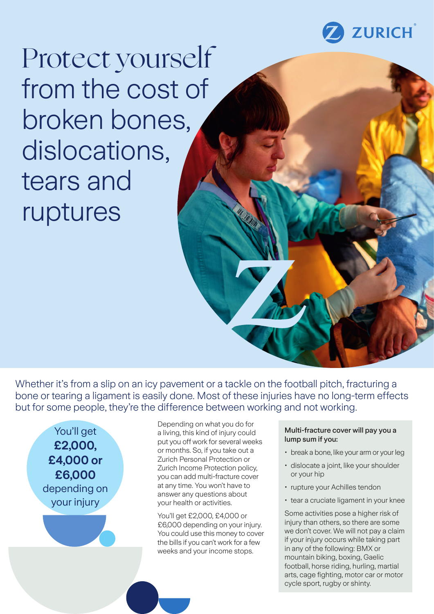

Protect yourself from the cost of broken bones, dislocations, tears and ruptures

Whether it's from a slip on an icy pavement or a tackle on the football pitch, fracturing a bone or tearing a ligament is easily done. Most of these injuries have no long-term effects but for some people, they're the difference between working and not working.

You'll get **£2,000, £4,000 or £6,000** depending on your injury

Depending on what you do for a living, this kind of injury could put you off work for several weeks or months. So, if you take out a Zurich Personal Protection or Zurich Income Protection policy, you can add multi-fracture cover at any time. You won't have to answer any questions about your health or activities.

You'll get £2,000, £4,000 or £6,000 depending on your injury. You could use this money to cover the bills if you can't work for a few weeks and your income stops.

#### Multi-fracture cover will pay you a lump sum if you:

- break a bone, like your arm or your leg
- dislocate a joint, like your shoulder or your hip
- rupture your Achilles tendon
- tear a cruciate ligament in your knee

Some activities pose a higher risk of injury than others, so there are some we don't cover. We will not pay a claim if your injury occurs while taking part in any of the following: BMX or mountain biking, boxing, Gaelic football, horse riding, hurling, martial arts, cage fighting, motor car or motor cycle sport, rugby or shinty.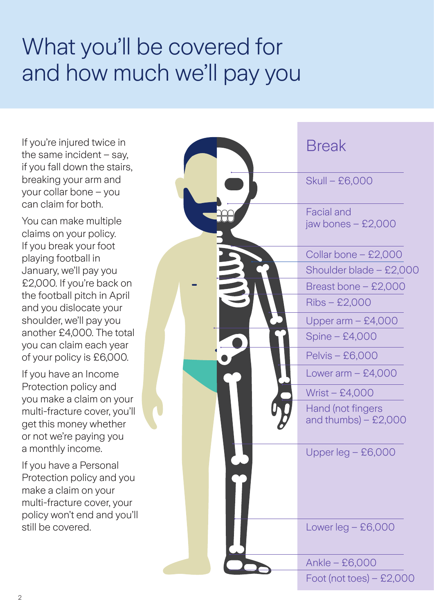## What you'll be covered for and how much we'll pay you

If you're injured twice in the same incident – say, if you fall down the stairs, breaking your arm and your collar bone – you can claim for both.

You can make multiple claims on your policy. If you break your foot playing football in January, we'll pay you £2,000. If you're back on the football pitch in April and you dislocate your shoulder, we'll pay you another £4,000. The total you can claim each year of your policy is £6,000.

If you have an Income Protection policy and you make a claim on your multi-fracture cover, you'll get this money whether or not we're paying you a monthly income.

If you have a Personal Protection policy and you make a claim on your multi-fracture cover, your policy won't end and you'll still be covered.

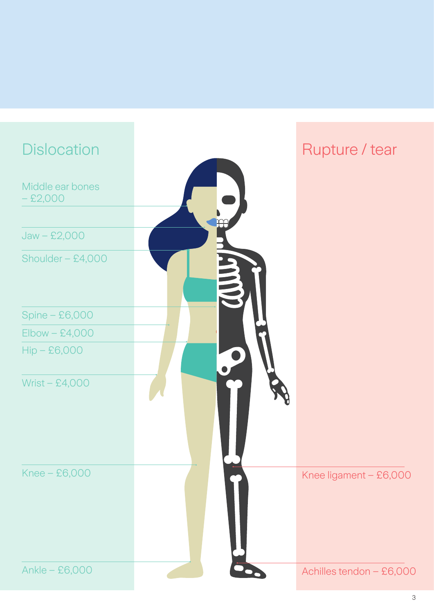

#### 3